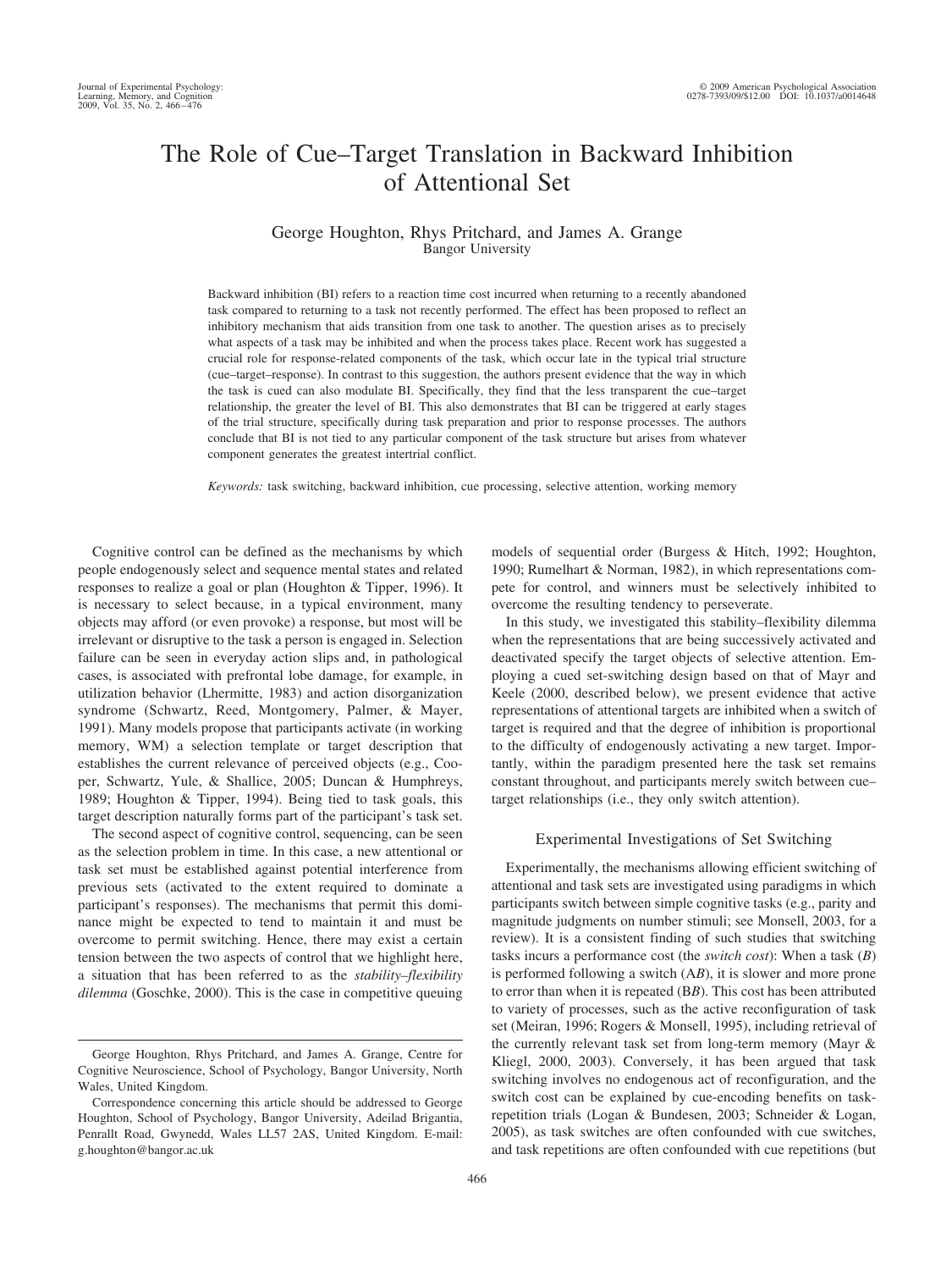# The Role of Cue–Target Translation in Backward Inhibition of Attentional Set

# George Houghton, Rhys Pritchard, and James A. Grange Bangor University

Backward inhibition (BI) refers to a reaction time cost incurred when returning to a recently abandoned task compared to returning to a task not recently performed. The effect has been proposed to reflect an inhibitory mechanism that aids transition from one task to another. The question arises as to precisely what aspects of a task may be inhibited and when the process takes place. Recent work has suggested a crucial role for response-related components of the task, which occur late in the typical trial structure (cue–target–response). In contrast to this suggestion, the authors present evidence that the way in which the task is cued can also modulate BI. Specifically, they find that the less transparent the cue–target relationship, the greater the level of BI. This also demonstrates that BI can be triggered at early stages of the trial structure, specifically during task preparation and prior to response processes. The authors conclude that BI is not tied to any particular component of the task structure but arises from whatever component generates the greatest intertrial conflict.

*Keywords:* task switching, backward inhibition, cue processing, selective attention, working memory

Cognitive control can be defined as the mechanisms by which people endogenously select and sequence mental states and related responses to realize a goal or plan (Houghton & Tipper, 1996). It is necessary to select because, in a typical environment, many objects may afford (or even provoke) a response, but most will be irrelevant or disruptive to the task a person is engaged in. Selection failure can be seen in everyday action slips and, in pathological cases, is associated with prefrontal lobe damage, for example, in utilization behavior (Lhermitte, 1983) and action disorganization syndrome (Schwartz, Reed, Montgomery, Palmer, & Mayer, 1991). Many models propose that participants activate (in working memory, WM) a selection template or target description that establishes the current relevance of perceived objects (e.g., Cooper, Schwartz, Yule, & Shallice, 2005; Duncan & Humphreys, 1989; Houghton & Tipper, 1994). Being tied to task goals, this target description naturally forms part of the participant's task set.

The second aspect of cognitive control, sequencing, can be seen as the selection problem in time. In this case, a new attentional or task set must be established against potential interference from previous sets (activated to the extent required to dominate a participant's responses). The mechanisms that permit this dominance might be expected to tend to maintain it and must be overcome to permit switching. Hence, there may exist a certain tension between the two aspects of control that we highlight here, a situation that has been referred to as the *stability–flexibility dilemma* (Goschke, 2000). This is the case in competitive queuing models of sequential order (Burgess & Hitch, 1992; Houghton, 1990; Rumelhart & Norman, 1982), in which representations compete for control, and winners must be selectively inhibited to overcome the resulting tendency to perseverate.

In this study, we investigated this stability–flexibility dilemma when the representations that are being successively activated and deactivated specify the target objects of selective attention. Employing a cued set-switching design based on that of Mayr and Keele (2000, described below), we present evidence that active representations of attentional targets are inhibited when a switch of target is required and that the degree of inhibition is proportional to the difficulty of endogenously activating a new target. Importantly, within the paradigm presented here the task set remains constant throughout, and participants merely switch between cue– target relationships (i.e., they only switch attention).

## Experimental Investigations of Set Switching

Experimentally, the mechanisms allowing efficient switching of attentional and task sets are investigated using paradigms in which participants switch between simple cognitive tasks (e.g., parity and magnitude judgments on number stimuli; see Monsell, 2003, for a review). It is a consistent finding of such studies that switching tasks incurs a performance cost (the *switch cost*): When a task (*B*) is performed following a switch (A*B*), it is slower and more prone to error than when it is repeated (B*B*). This cost has been attributed to variety of processes, such as the active reconfiguration of task set (Meiran, 1996; Rogers & Monsell, 1995), including retrieval of the currently relevant task set from long-term memory (Mayr & Kliegl, 2000, 2003). Conversely, it has been argued that task switching involves no endogenous act of reconfiguration, and the switch cost can be explained by cue-encoding benefits on taskrepetition trials (Logan & Bundesen, 2003; Schneider & Logan, 2005), as task switches are often confounded with cue switches, and task repetitions are often confounded with cue repetitions (but

George Houghton, Rhys Pritchard, and James A. Grange, Centre for Cognitive Neuroscience, School of Psychology, Bangor University, North Wales, United Kingdom.

Correspondence concerning this article should be addressed to George Houghton, School of Psychology, Bangor University, Adeilad Brigantia, Penrallt Road, Gwynedd, Wales LL57 2AS, United Kingdom. E-mail: g.houghton@bangor.ac.uk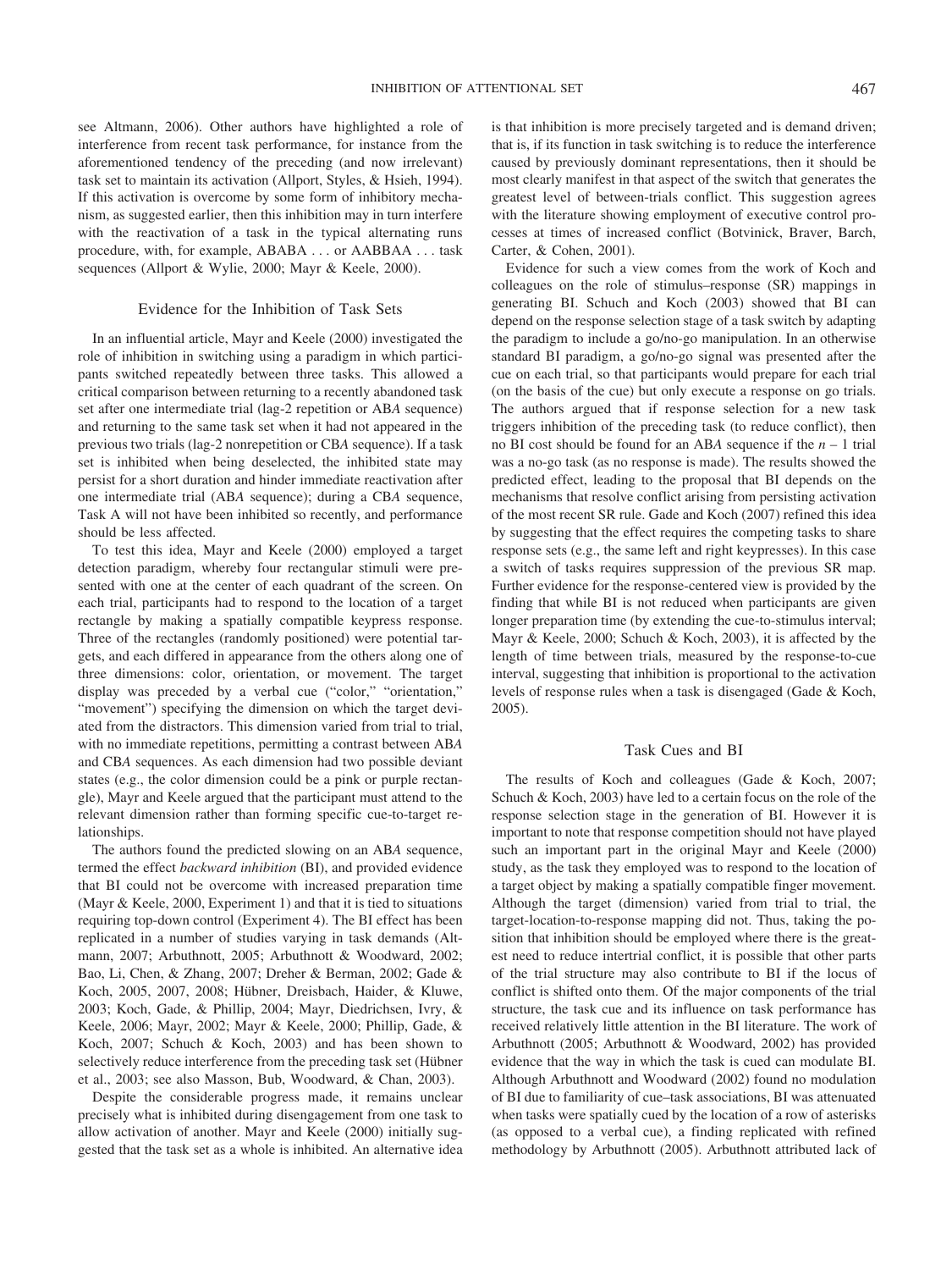see Altmann, 2006). Other authors have highlighted a role of interference from recent task performance, for instance from the aforementioned tendency of the preceding (and now irrelevant) task set to maintain its activation (Allport, Styles, & Hsieh, 1994). If this activation is overcome by some form of inhibitory mechanism, as suggested earlier, then this inhibition may in turn interfere with the reactivation of a task in the typical alternating runs procedure, with, for example, ABABA . . . or AABBAA . . . task sequences (Allport & Wylie, 2000; Mayr & Keele, 2000).

#### Evidence for the Inhibition of Task Sets

In an influential article, Mayr and Keele (2000) investigated the role of inhibition in switching using a paradigm in which participants switched repeatedly between three tasks. This allowed a critical comparison between returning to a recently abandoned task set after one intermediate trial (lag-2 repetition or AB*A* sequence) and returning to the same task set when it had not appeared in the previous two trials (lag-2 nonrepetition or CB*A* sequence). If a task set is inhibited when being deselected, the inhibited state may persist for a short duration and hinder immediate reactivation after one intermediate trial (AB*A* sequence); during a CB*A* sequence, Task A will not have been inhibited so recently, and performance should be less affected.

To test this idea, Mayr and Keele (2000) employed a target detection paradigm, whereby four rectangular stimuli were presented with one at the center of each quadrant of the screen. On each trial, participants had to respond to the location of a target rectangle by making a spatially compatible keypress response. Three of the rectangles (randomly positioned) were potential targets, and each differed in appearance from the others along one of three dimensions: color, orientation, or movement. The target display was preceded by a verbal cue ("color," "orientation," "movement") specifying the dimension on which the target deviated from the distractors. This dimension varied from trial to trial, with no immediate repetitions, permitting a contrast between AB*A* and CB*A* sequences. As each dimension had two possible deviant states (e.g., the color dimension could be a pink or purple rectangle), Mayr and Keele argued that the participant must attend to the relevant dimension rather than forming specific cue-to-target relationships.

The authors found the predicted slowing on an AB*A* sequence, termed the effect *backward inhibition* (BI), and provided evidence that BI could not be overcome with increased preparation time (Mayr & Keele, 2000, Experiment 1) and that it is tied to situations requiring top-down control (Experiment 4). The BI effect has been replicated in a number of studies varying in task demands (Altmann, 2007; Arbuthnott, 2005; Arbuthnott & Woodward, 2002; Bao, Li, Chen, & Zhang, 2007; Dreher & Berman, 2002; Gade & Koch, 2005, 2007, 2008; Hübner, Dreisbach, Haider, & Kluwe, 2003; Koch, Gade, & Phillip, 2004; Mayr, Diedrichsen, Ivry, & Keele, 2006; Mayr, 2002; Mayr & Keele, 2000; Phillip, Gade, & Koch, 2007; Schuch & Koch, 2003) and has been shown to selectively reduce interference from the preceding task set (Hübner et al., 2003; see also Masson, Bub, Woodward, & Chan, 2003).

Despite the considerable progress made, it remains unclear precisely what is inhibited during disengagement from one task to allow activation of another. Mayr and Keele (2000) initially suggested that the task set as a whole is inhibited. An alternative idea is that inhibition is more precisely targeted and is demand driven; that is, if its function in task switching is to reduce the interference caused by previously dominant representations, then it should be most clearly manifest in that aspect of the switch that generates the greatest level of between-trials conflict. This suggestion agrees with the literature showing employment of executive control processes at times of increased conflict (Botvinick, Braver, Barch, Carter, & Cohen, 2001).

Evidence for such a view comes from the work of Koch and colleagues on the role of stimulus–response (SR) mappings in generating BI. Schuch and Koch (2003) showed that BI can depend on the response selection stage of a task switch by adapting the paradigm to include a go/no-go manipulation. In an otherwise standard BI paradigm, a go/no-go signal was presented after the cue on each trial, so that participants would prepare for each trial (on the basis of the cue) but only execute a response on go trials. The authors argued that if response selection for a new task triggers inhibition of the preceding task (to reduce conflict), then no BI cost should be found for an AB*A* sequence if the *n* – 1 trial was a no-go task (as no response is made). The results showed the predicted effect, leading to the proposal that BI depends on the mechanisms that resolve conflict arising from persisting activation of the most recent SR rule. Gade and Koch (2007) refined this idea by suggesting that the effect requires the competing tasks to share response sets (e.g., the same left and right keypresses). In this case a switch of tasks requires suppression of the previous SR map. Further evidence for the response-centered view is provided by the finding that while BI is not reduced when participants are given longer preparation time (by extending the cue-to-stimulus interval; Mayr & Keele, 2000; Schuch & Koch, 2003), it is affected by the length of time between trials, measured by the response-to-cue interval, suggesting that inhibition is proportional to the activation levels of response rules when a task is disengaged (Gade & Koch, 2005).

# Task Cues and BI

The results of Koch and colleagues (Gade & Koch, 2007; Schuch & Koch, 2003) have led to a certain focus on the role of the response selection stage in the generation of BI. However it is important to note that response competition should not have played such an important part in the original Mayr and Keele (2000) study, as the task they employed was to respond to the location of a target object by making a spatially compatible finger movement. Although the target (dimension) varied from trial to trial, the target-location-to-response mapping did not. Thus, taking the position that inhibition should be employed where there is the greatest need to reduce intertrial conflict, it is possible that other parts of the trial structure may also contribute to BI if the locus of conflict is shifted onto them. Of the major components of the trial structure, the task cue and its influence on task performance has received relatively little attention in the BI literature. The work of Arbuthnott (2005; Arbuthnott & Woodward, 2002) has provided evidence that the way in which the task is cued can modulate BI. Although Arbuthnott and Woodward (2002) found no modulation of BI due to familiarity of cue–task associations, BI was attenuated when tasks were spatially cued by the location of a row of asterisks (as opposed to a verbal cue), a finding replicated with refined methodology by Arbuthnott (2005). Arbuthnott attributed lack of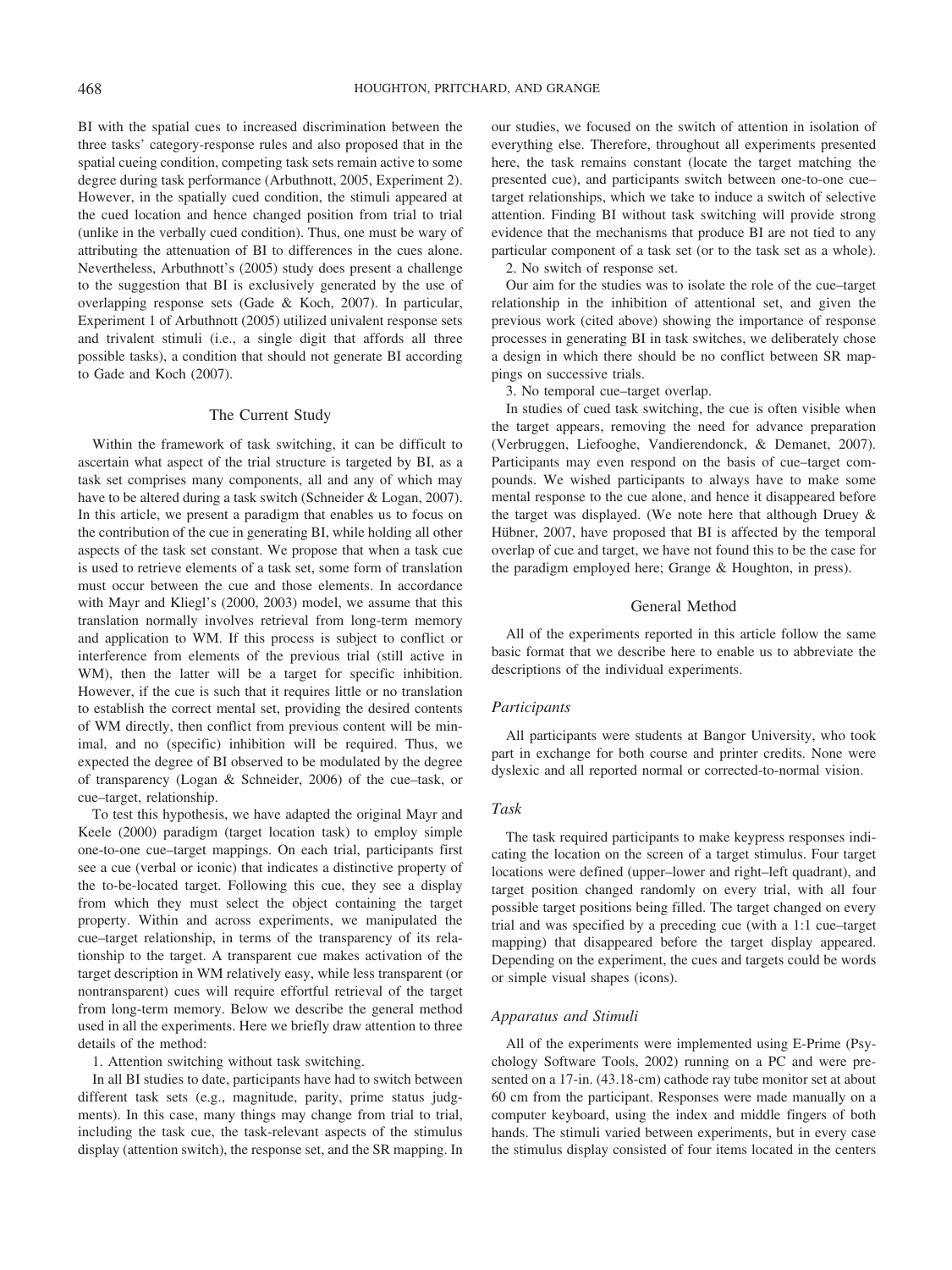BI with the spatial cues to increased discrimination between the three tasks' category-response rules and also proposed that in the spatial cueing condition, competing task sets remain active to some degree during task performance (Arbuthnott, 2005, Experiment 2). However, in the spatially cued condition, the stimuli appeared at the cued location and hence changed position from trial to trial (unlike in the verbally cued condition). Thus, one must be wary of attributing the attenuation of BI to differences in the cues alone. Nevertheless, Arbuthnott's (2005) study does present a challenge to the suggestion that BI is exclusively generated by the use of overlapping response sets (Gade & Koch, 2007). In particular, Experiment 1 of Arbuthnott (2005) utilized univalent response sets and trivalent stimuli (i.e., a single digit that affords all three possible tasks), a condition that should not generate BI according to Gade and Koch (2007).

## The Current Study

Within the framework of task switching, it can be difficult to ascertain what aspect of the trial structure is targeted by BI, as a task set comprises many components, all and any of which may have to be altered during a task switch (Schneider & Logan, 2007). In this article, we present a paradigm that enables us to focus on the contribution of the cue in generating BI, while holding all other aspects of the task set constant. We propose that when a task cue is used to retrieve elements of a task set, some form of translation must occur between the cue and those elements. In accordance with Mayr and Kliegl's (2000, 2003) model, we assume that this translation normally involves retrieval from long-term memory and application to WM. If this process is subject to conflict or interference from elements of the previous trial (still active in WM), then the latter will be a target for specific inhibition. However, if the cue is such that it requires little or no translation to establish the correct mental set, providing the desired contents of WM directly, then conflict from previous content will be minimal, and no (specific) inhibition will be required. Thus, we expected the degree of BI observed to be modulated by the degree of transparency (Logan & Schneider, 2006) of the cue–task, or cue–target, relationship.

To test this hypothesis, we have adapted the original Mayr and Keele (2000) paradigm (target location task) to employ simple one-to-one cue–target mappings. On each trial, participants first see a cue (verbal or iconic) that indicates a distinctive property of the to-be-located target. Following this cue, they see a display from which they must select the object containing the target property. Within and across experiments, we manipulated the cue–target relationship, in terms of the transparency of its relationship to the target. A transparent cue makes activation of the target description in WM relatively easy, while less transparent (or nontransparent) cues will require effortful retrieval of the target from long-term memory. Below we describe the general method used in all the experiments. Here we briefly draw attention to three details of the method:

1. Attention switching without task switching.

In all BI studies to date, participants have had to switch between different task sets (e.g., magnitude, parity, prime status judgments). In this case, many things may change from trial to trial, including the task cue, the task-relevant aspects of the stimulus display (attention switch), the response set, and the SR mapping. In our studies, we focused on the switch of attention in isolation of everything else. Therefore, throughout all experiments presented here, the task remains constant (locate the target matching the presented cue), and participants switch between one-to-one cue– target relationships, which we take to induce a switch of selective attention. Finding BI without task switching will provide strong evidence that the mechanisms that produce BI are not tied to any particular component of a task set (or to the task set as a whole).

2. No switch of response set.

Our aim for the studies was to isolate the role of the cue–target relationship in the inhibition of attentional set, and given the previous work (cited above) showing the importance of response processes in generating BI in task switches, we deliberately chose a design in which there should be no conflict between SR mappings on successive trials.

3. No temporal cue–target overlap.

In studies of cued task switching, the cue is often visible when the target appears, removing the need for advance preparation (Verbruggen, Liefooghe, Vandierendonck, & Demanet, 2007). Participants may even respond on the basis of cue–target compounds. We wished participants to always have to make some mental response to the cue alone, and hence it disappeared before the target was displayed. (We note here that although Druey & Hübner, 2007, have proposed that BI is affected by the temporal overlap of cue and target, we have not found this to be the case for the paradigm employed here; Grange & Houghton, in press).

## General Method

All of the experiments reported in this article follow the same basic format that we describe here to enable us to abbreviate the descriptions of the individual experiments.

#### *Participants*

All participants were students at Bangor University, who took part in exchange for both course and printer credits. None were dyslexic and all reported normal or corrected-to-normal vision.

#### *Task*

The task required participants to make keypress responses indicating the location on the screen of a target stimulus. Four target locations were defined (upper–lower and right–left quadrant), and target position changed randomly on every trial, with all four possible target positions being filled. The target changed on every trial and was specified by a preceding cue (with a 1:1 cue–target mapping) that disappeared before the target display appeared. Depending on the experiment, the cues and targets could be words or simple visual shapes (icons).

## *Apparatus and Stimuli*

All of the experiments were implemented using E-Prime (Psychology Software Tools, 2002) running on a PC and were presented on a 17-in. (43.18-cm) cathode ray tube monitor set at about 60 cm from the participant. Responses were made manually on a computer keyboard, using the index and middle fingers of both hands. The stimuli varied between experiments, but in every case the stimulus display consisted of four items located in the centers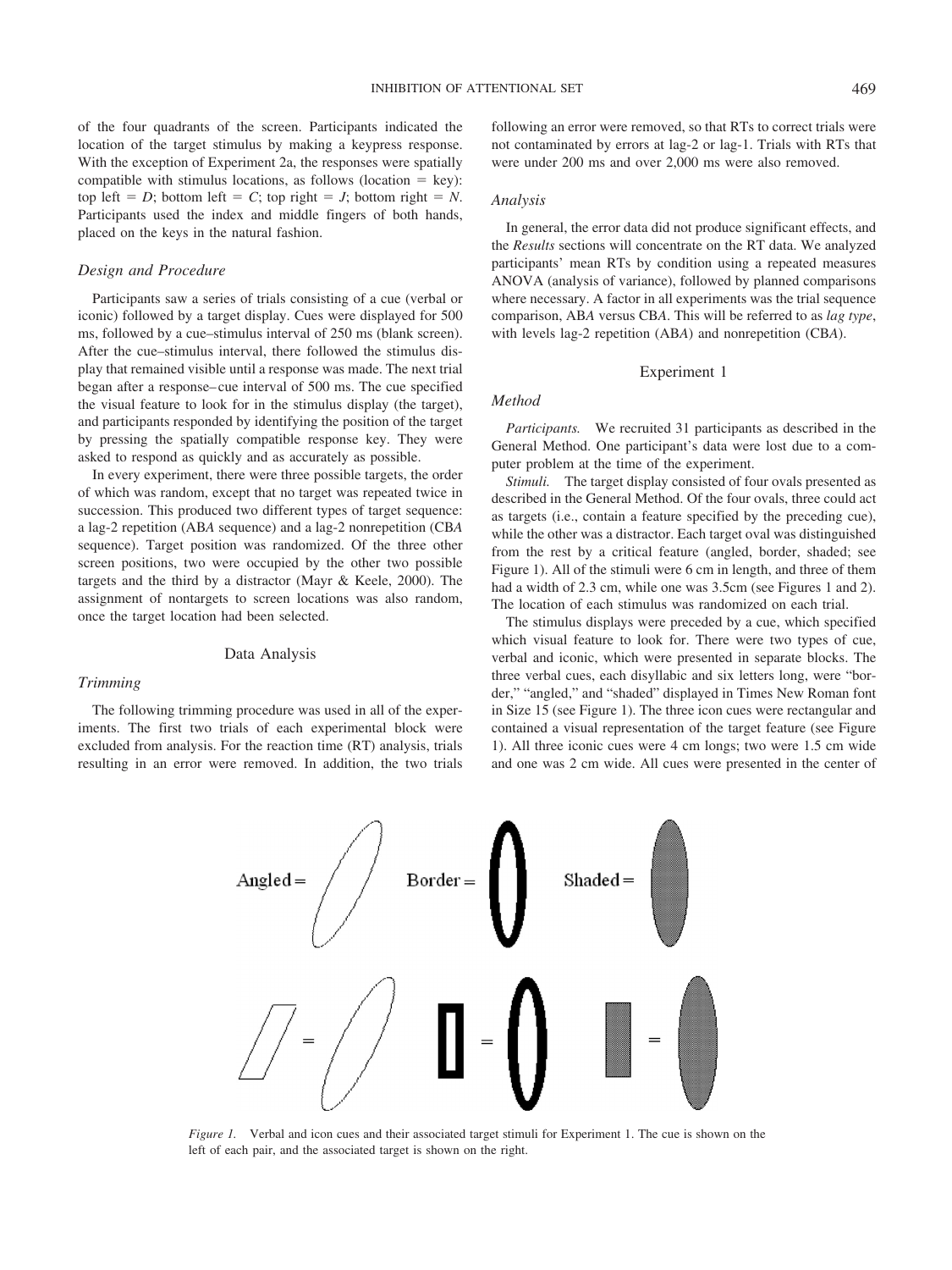of the four quadrants of the screen. Participants indicated the location of the target stimulus by making a keypress response. With the exception of Experiment 2a, the responses were spatially compatible with stimulus locations, as follows (location  $=$  key): top left  $= D$ ; bottom left  $= C$ ; top right  $= J$ ; bottom right  $= N$ . Participants used the index and middle fingers of both hands, placed on the keys in the natural fashion.

#### *Design and Procedure*

Participants saw a series of trials consisting of a cue (verbal or iconic) followed by a target display. Cues were displayed for 500 ms, followed by a cue–stimulus interval of 250 ms (blank screen). After the cue–stimulus interval, there followed the stimulus display that remained visible until a response was made. The next trial began after a response– cue interval of 500 ms. The cue specified the visual feature to look for in the stimulus display (the target), and participants responded by identifying the position of the target by pressing the spatially compatible response key. They were asked to respond as quickly and as accurately as possible.

In every experiment, there were three possible targets, the order of which was random, except that no target was repeated twice in succession. This produced two different types of target sequence: a lag-2 repetition (AB*A* sequence) and a lag-2 nonrepetition (CB*A* sequence). Target position was randomized. Of the three other screen positions, two were occupied by the other two possible targets and the third by a distractor (Mayr & Keele, 2000). The assignment of nontargets to screen locations was also random, once the target location had been selected.

#### Data Analysis

#### *Trimming*

The following trimming procedure was used in all of the experiments. The first two trials of each experimental block were excluded from analysis. For the reaction time (RT) analysis, trials resulting in an error were removed. In addition, the two trials following an error were removed, so that RTs to correct trials were not contaminated by errors at lag-2 or lag-1. Trials with RTs that were under 200 ms and over 2,000 ms were also removed.

## *Analysis*

In general, the error data did not produce significant effects, and the *Results* sections will concentrate on the RT data. We analyzed participants' mean RTs by condition using a repeated measures ANOVA (analysis of variance), followed by planned comparisons where necessary. A factor in all experiments was the trial sequence comparison, AB*A* versus CB*A*. This will be referred to as *lag type*, with levels lag-2 repetition (AB*A*) and nonrepetition (CB*A*).

# Experiment 1

## *Method*

*Participants.* We recruited 31 participants as described in the General Method. One participant's data were lost due to a computer problem at the time of the experiment.

*Stimuli.* The target display consisted of four ovals presented as described in the General Method. Of the four ovals, three could act as targets (i.e., contain a feature specified by the preceding cue), while the other was a distractor. Each target oval was distinguished from the rest by a critical feature (angled, border, shaded; see Figure 1). All of the stimuli were 6 cm in length, and three of them had a width of 2.3 cm, while one was 3.5cm (see Figures 1 and 2). The location of each stimulus was randomized on each trial.

The stimulus displays were preceded by a cue, which specified which visual feature to look for. There were two types of cue, verbal and iconic, which were presented in separate blocks. The three verbal cues, each disyllabic and six letters long, were "border," "angled," and "shaded" displayed in Times New Roman font in Size 15 (see Figure 1). The three icon cues were rectangular and contained a visual representation of the target feature (see Figure 1). All three iconic cues were 4 cm longs; two were 1.5 cm wide and one was 2 cm wide. All cues were presented in the center of



*Figure 1.* Verbal and icon cues and their associated target stimuli for Experiment 1. The cue is shown on the left of each pair, and the associated target is shown on the right.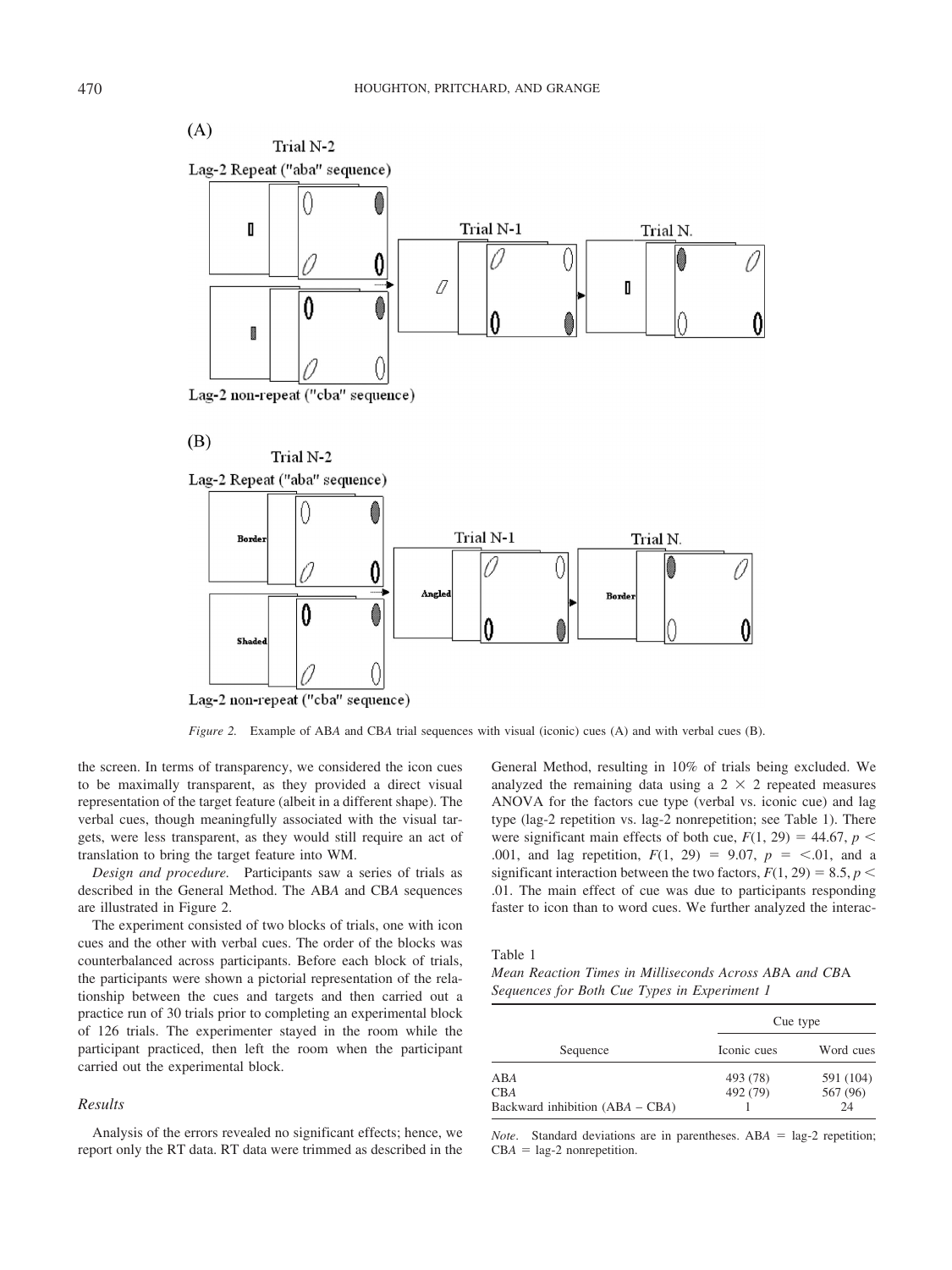

*Figure 2.* Example of AB*A* and CB*A* trial sequences with visual (iconic) cues (A) and with verbal cues (B).

the screen. In terms of transparency, we considered the icon cues to be maximally transparent, as they provided a direct visual representation of the target feature (albeit in a different shape). The verbal cues, though meaningfully associated with the visual targets, were less transparent, as they would still require an act of translation to bring the target feature into WM.

*Design and procedure.* Participants saw a series of trials as described in the General Method. The AB*A* and CB*A* sequences are illustrated in Figure 2.

The experiment consisted of two blocks of trials, one with icon cues and the other with verbal cues. The order of the blocks was counterbalanced across participants. Before each block of trials, the participants were shown a pictorial representation of the relationship between the cues and targets and then carried out a practice run of 30 trials prior to completing an experimental block of 126 trials. The experimenter stayed in the room while the participant practiced, then left the room when the participant carried out the experimental block.

# *Results*

Analysis of the errors revealed no significant effects; hence, we report only the RT data. RT data were trimmed as described in the General Method, resulting in 10% of trials being excluded. We analyzed the remaining data using a  $2 \times 2$  repeated measures ANOVA for the factors cue type (verbal vs. iconic cue) and lag type (lag-2 repetition vs. lag-2 nonrepetition; see Table 1). There were significant main effects of both cue,  $F(1, 29) = 44.67$ ,  $p <$ .001, and lag repetition,  $F(1, 29) = 9.07$ ,  $p = <.01$ , and a significant interaction between the two factors,  $F(1, 29) = 8.5$ ,  $p <$ .01. The main effect of cue was due to participants responding faster to icon than to word cues. We further analyzed the interac-

Table 1

*Mean Reaction Times in Milliseconds Across AB*A *and CB*A *Sequences for Both Cue Types in Experiment 1*

|                                 | Cue type    |           |  |
|---------------------------------|-------------|-----------|--|
| Sequence                        | Iconic cues | Word cues |  |
| ABA                             | 493 (78)    | 591 (104) |  |
| <b>CBA</b>                      | 492 (79)    | 567 (96)  |  |
| Backward inhibition (ABA – CBA) |             | 24        |  |

*Note*. Standard deviations are in parentheses.  $ABA = lag-2$  repetition;  $CBA = lag-2$  nonrepetition.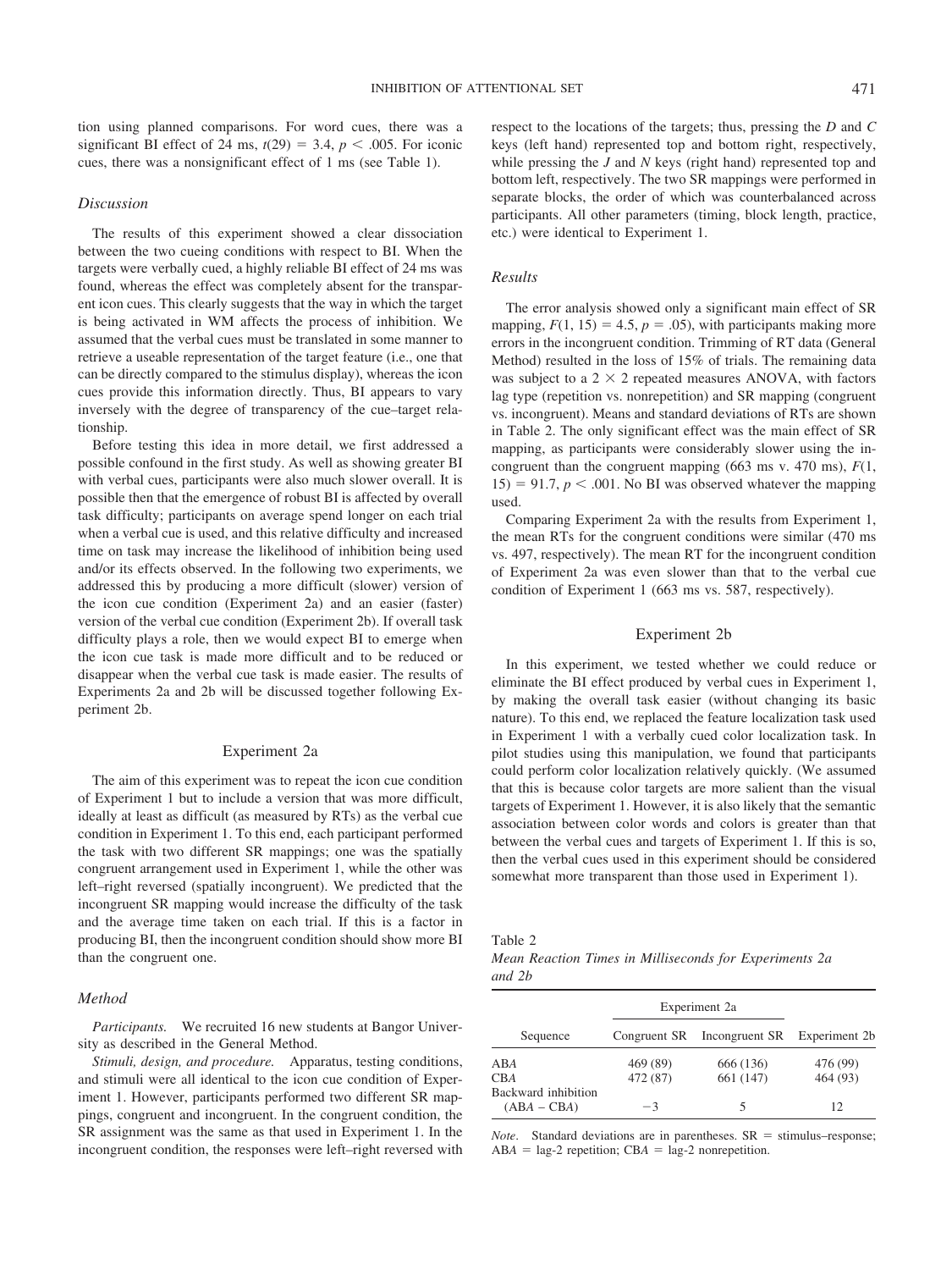tion using planned comparisons. For word cues, there was a significant BI effect of 24 ms,  $t(29) = 3.4$ ,  $p < .005$ . For iconic cues, there was a nonsignificant effect of 1 ms (see Table 1).

# *Discussion*

The results of this experiment showed a clear dissociation between the two cueing conditions with respect to BI. When the targets were verbally cued, a highly reliable BI effect of 24 ms was found, whereas the effect was completely absent for the transparent icon cues. This clearly suggests that the way in which the target is being activated in WM affects the process of inhibition. We assumed that the verbal cues must be translated in some manner to retrieve a useable representation of the target feature (i.e., one that can be directly compared to the stimulus display), whereas the icon cues provide this information directly. Thus, BI appears to vary inversely with the degree of transparency of the cue–target relationship.

Before testing this idea in more detail, we first addressed a possible confound in the first study. As well as showing greater BI with verbal cues, participants were also much slower overall. It is possible then that the emergence of robust BI is affected by overall task difficulty; participants on average spend longer on each trial when a verbal cue is used, and this relative difficulty and increased time on task may increase the likelihood of inhibition being used and/or its effects observed. In the following two experiments, we addressed this by producing a more difficult (slower) version of the icon cue condition (Experiment 2a) and an easier (faster) version of the verbal cue condition (Experiment 2b). If overall task difficulty plays a role, then we would expect BI to emerge when the icon cue task is made more difficult and to be reduced or disappear when the verbal cue task is made easier. The results of Experiments 2a and 2b will be discussed together following Experiment 2b.

#### Experiment 2a

The aim of this experiment was to repeat the icon cue condition of Experiment 1 but to include a version that was more difficult, ideally at least as difficult (as measured by RTs) as the verbal cue condition in Experiment 1. To this end, each participant performed the task with two different SR mappings; one was the spatially congruent arrangement used in Experiment 1, while the other was left–right reversed (spatially incongruent). We predicted that the incongruent SR mapping would increase the difficulty of the task and the average time taken on each trial. If this is a factor in producing BI, then the incongruent condition should show more BI than the congruent one.

## *Method*

*Participants.* We recruited 16 new students at Bangor University as described in the General Method.

*Stimuli, design, and procedure.* Apparatus, testing conditions, and stimuli were all identical to the icon cue condition of Experiment 1. However, participants performed two different SR mappings, congruent and incongruent. In the congruent condition, the SR assignment was the same as that used in Experiment 1. In the incongruent condition, the responses were left–right reversed with respect to the locations of the targets; thus, pressing the *D* and *C* keys (left hand) represented top and bottom right, respectively, while pressing the *J* and *N* keys (right hand) represented top and bottom left, respectively. The two SR mappings were performed in separate blocks, the order of which was counterbalanced across participants. All other parameters (timing, block length, practice, etc.) were identical to Experiment 1.

#### *Results*

The error analysis showed only a significant main effect of SR mapping,  $F(1, 15) = 4.5$ ,  $p = .05$ ), with participants making more errors in the incongruent condition. Trimming of RT data (General Method) resulted in the loss of 15% of trials. The remaining data was subject to a  $2 \times 2$  repeated measures ANOVA, with factors lag type (repetition vs. nonrepetition) and SR mapping (congruent vs. incongruent). Means and standard deviations of RTs are shown in Table 2. The only significant effect was the main effect of SR mapping, as participants were considerably slower using the incongruent than the congruent mapping (663 ms v. 470 ms), *F*(1,  $15$ ) = 91.7,  $p < .001$ . No BI was observed whatever the mapping used.

Comparing Experiment 2a with the results from Experiment 1, the mean RTs for the congruent conditions were similar (470 ms vs. 497, respectively). The mean RT for the incongruent condition of Experiment 2a was even slower than that to the verbal cue condition of Experiment 1 (663 ms vs. 587, respectively).

## Experiment 2b

In this experiment, we tested whether we could reduce or eliminate the BI effect produced by verbal cues in Experiment 1, by making the overall task easier (without changing its basic nature). To this end, we replaced the feature localization task used in Experiment 1 with a verbally cued color localization task. In pilot studies using this manipulation, we found that participants could perform color localization relatively quickly. (We assumed that this is because color targets are more salient than the visual targets of Experiment 1. However, it is also likely that the semantic association between color words and colors is greater than that between the verbal cues and targets of Experiment 1. If this is so, then the verbal cues used in this experiment should be considered somewhat more transparent than those used in Experiment 1).

#### Table 2

*Mean Reaction Times in Milliseconds for Experiments 2a and 2b*

|                                      | Experiment 2a |                             |               |  |
|--------------------------------------|---------------|-----------------------------|---------------|--|
| Sequence                             |               | Congruent SR Incongruent SR | Experiment 2b |  |
| ABA                                  | 469 (89)      | 666 (136)                   | 476 (99)      |  |
| <b>CBA</b>                           | 472 (87)      | 661 (147)                   | 464 (93)      |  |
| Backward inhibition<br>$(ABA - CBA)$ | $-3$          |                             | 12            |  |

*Note*. Standard deviations are in parentheses.  $SR =$  stimulus–response;  $ABA = lag-2$  repetition;  $CBA = lag-2$  nonrepetition.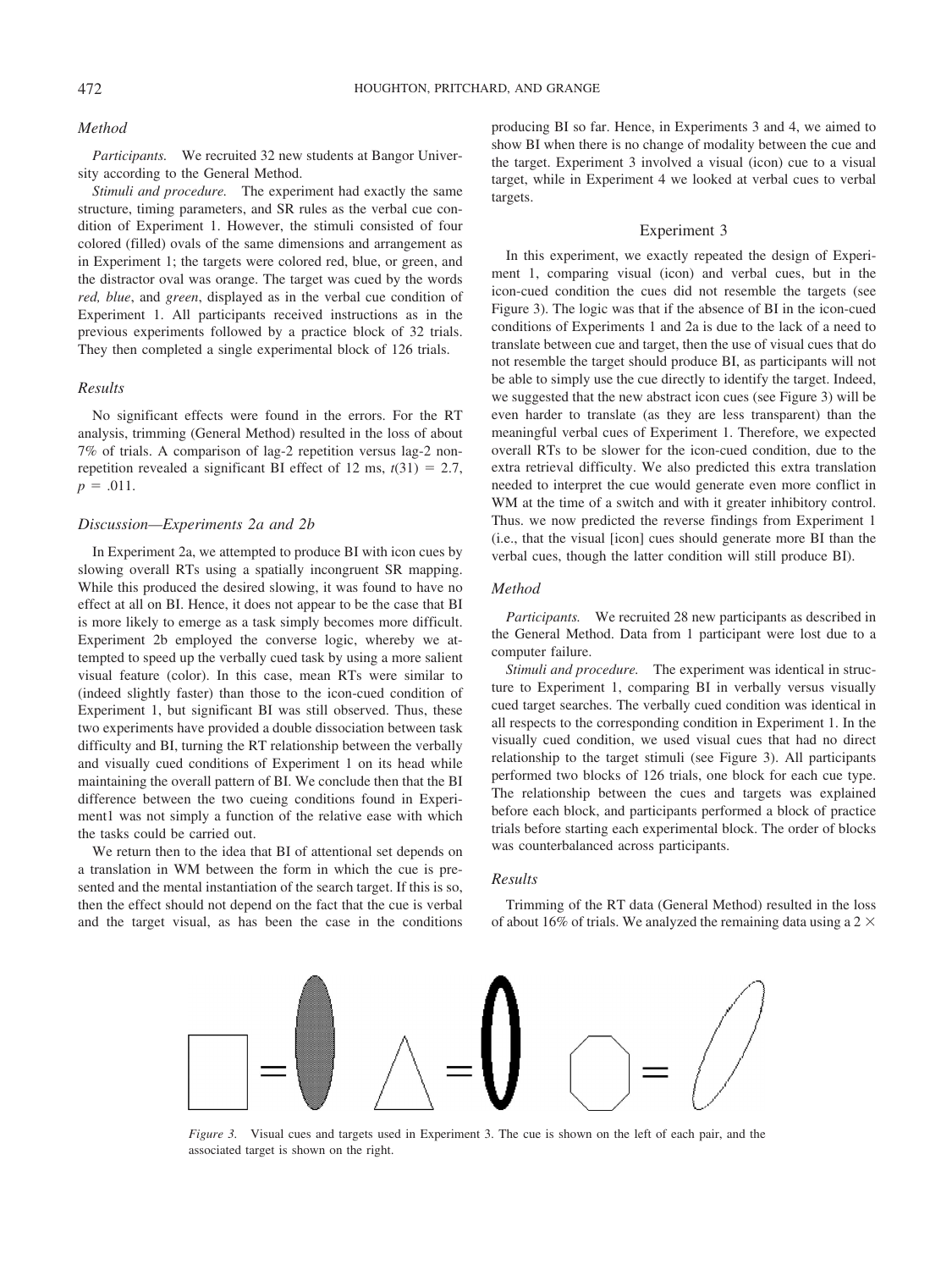# *Method*

*Participants.* We recruited 32 new students at Bangor University according to the General Method.

*Stimuli and procedure.* The experiment had exactly the same structure, timing parameters, and SR rules as the verbal cue condition of Experiment 1. However, the stimuli consisted of four colored (filled) ovals of the same dimensions and arrangement as in Experiment 1; the targets were colored red, blue, or green, and the distractor oval was orange. The target was cued by the words *red, blue*, and *green*, displayed as in the verbal cue condition of Experiment 1. All participants received instructions as in the previous experiments followed by a practice block of 32 trials. They then completed a single experimental block of 126 trials.

#### *Results*

No significant effects were found in the errors. For the RT analysis, trimming (General Method) resulted in the loss of about 7% of trials. A comparison of lag-2 repetition versus lag-2 nonrepetition revealed a significant BI effect of 12 ms,  $t(31) = 2.7$ ,  $p = .011$ .

#### *Discussion—Experiments 2a and 2b*

In Experiment 2a, we attempted to produce BI with icon cues by slowing overall RTs using a spatially incongruent SR mapping. While this produced the desired slowing, it was found to have no effect at all on BI. Hence, it does not appear to be the case that BI is more likely to emerge as a task simply becomes more difficult. Experiment 2b employed the converse logic, whereby we attempted to speed up the verbally cued task by using a more salient visual feature (color). In this case, mean RTs were similar to (indeed slightly faster) than those to the icon-cued condition of Experiment 1, but significant BI was still observed. Thus, these two experiments have provided a double dissociation between task difficulty and BI, turning the RT relationship between the verbally and visually cued conditions of Experiment 1 on its head while maintaining the overall pattern of BI. We conclude then that the BI difference between the two cueing conditions found in Experiment1 was not simply a function of the relative ease with which the tasks could be carried out.

We return then to the idea that BI of attentional set depends on a translation in WM between the form in which the cue is presented and the mental instantiation of the search target. If this is so, then the effect should not depend on the fact that the cue is verbal and the target visual, as has been the case in the conditions producing BI so far. Hence, in Experiments 3 and 4, we aimed to show BI when there is no change of modality between the cue and the target. Experiment 3 involved a visual (icon) cue to a visual target, while in Experiment 4 we looked at verbal cues to verbal targets.

#### Experiment 3

In this experiment, we exactly repeated the design of Experiment 1, comparing visual (icon) and verbal cues, but in the icon-cued condition the cues did not resemble the targets (see Figure 3). The logic was that if the absence of BI in the icon-cued conditions of Experiments 1 and 2a is due to the lack of a need to translate between cue and target, then the use of visual cues that do not resemble the target should produce BI, as participants will not be able to simply use the cue directly to identify the target. Indeed, we suggested that the new abstract icon cues (see Figure 3) will be even harder to translate (as they are less transparent) than the meaningful verbal cues of Experiment 1. Therefore, we expected overall RTs to be slower for the icon-cued condition, due to the extra retrieval difficulty. We also predicted this extra translation needed to interpret the cue would generate even more conflict in WM at the time of a switch and with it greater inhibitory control. Thus. we now predicted the reverse findings from Experiment 1 (i.e., that the visual [icon] cues should generate more BI than the verbal cues, though the latter condition will still produce BI).

## *Method*

*Participants.* We recruited 28 new participants as described in the General Method. Data from 1 participant were lost due to a computer failure.

*Stimuli and procedure.* The experiment was identical in structure to Experiment 1, comparing BI in verbally versus visually cued target searches. The verbally cued condition was identical in all respects to the corresponding condition in Experiment 1. In the visually cued condition, we used visual cues that had no direct relationship to the target stimuli (see Figure 3). All participants performed two blocks of 126 trials, one block for each cue type. The relationship between the cues and targets was explained before each block, and participants performed a block of practice trials before starting each experimental block. The order of blocks was counterbalanced across participants.

#### *Results*

Trimming of the RT data (General Method) resulted in the loss of about 16% of trials. We analyzed the remaining data using a 2  $\times$ 



*Figure 3.* Visual cues and targets used in Experiment 3. The cue is shown on the left of each pair, and the associated target is shown on the right.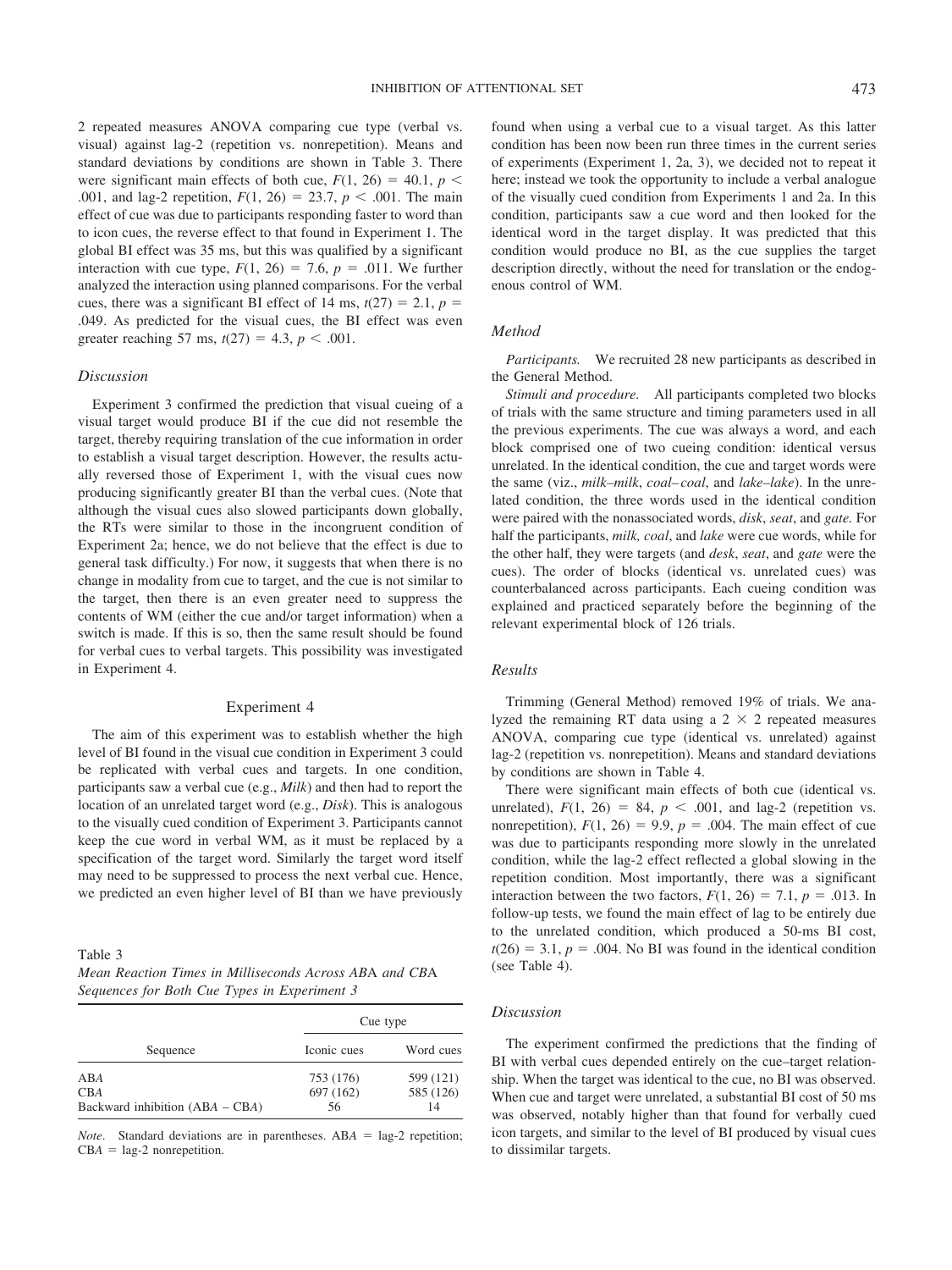2 repeated measures ANOVA comparing cue type (verbal vs. visual) against lag-2 (repetition vs. nonrepetition). Means and standard deviations by conditions are shown in Table 3. There were significant main effects of both cue,  $F(1, 26) = 40.1$ ,  $p \le$ .001, and lag-2 repetition,  $F(1, 26) = 23.7$ ,  $p < .001$ . The main effect of cue was due to participants responding faster to word than to icon cues, the reverse effect to that found in Experiment 1. The global BI effect was 35 ms, but this was qualified by a significant interaction with cue type,  $F(1, 26) = 7.6$ ,  $p = .011$ . We further analyzed the interaction using planned comparisons. For the verbal cues, there was a significant BI effect of 14 ms,  $t(27) = 2.1$ ,  $p =$ .049. As predicted for the visual cues, the BI effect was even greater reaching 57 ms,  $t(27) = 4.3$ ,  $p < .001$ .

#### *Discussion*

Experiment 3 confirmed the prediction that visual cueing of a visual target would produce BI if the cue did not resemble the target, thereby requiring translation of the cue information in order to establish a visual target description. However, the results actually reversed those of Experiment 1, with the visual cues now producing significantly greater BI than the verbal cues. (Note that although the visual cues also slowed participants down globally, the RTs were similar to those in the incongruent condition of Experiment 2a; hence, we do not believe that the effect is due to general task difficulty.) For now, it suggests that when there is no change in modality from cue to target, and the cue is not similar to the target, then there is an even greater need to suppress the contents of WM (either the cue and/or target information) when a switch is made. If this is so, then the same result should be found for verbal cues to verbal targets. This possibility was investigated in Experiment 4.

#### Experiment 4

The aim of this experiment was to establish whether the high level of BI found in the visual cue condition in Experiment 3 could be replicated with verbal cues and targets. In one condition, participants saw a verbal cue (e.g., *Milk*) and then had to report the location of an unrelated target word (e.g., *Disk*). This is analogous to the visually cued condition of Experiment 3. Participants cannot keep the cue word in verbal WM, as it must be replaced by a specification of the target word. Similarly the target word itself may need to be suppressed to process the next verbal cue. Hence, we predicted an even higher level of BI than we have previously

Table 3

| Mean Reaction Times in Milliseconds Across ABA and CBA |  |  |  |  |  |
|--------------------------------------------------------|--|--|--|--|--|
| Sequences for Both Cue Types in Experiment 3           |  |  |  |  |  |

|                                 | Cue type    |           |  |
|---------------------------------|-------------|-----------|--|
| Sequence                        | Iconic cues | Word cues |  |
| ABA                             | 753 (176)   | 599 (121) |  |
| <b>CBA</b>                      | 697 (162)   | 585 (126) |  |
| Backward inhibition (ABA – CBA) | 56          | 14        |  |

*Note*. Standard deviations are in parentheses.  $ABA = lag-2$  repetition;  $CBA = lag-2$  nonrepetition.

found when using a verbal cue to a visual target. As this latter condition has been now been run three times in the current series of experiments (Experiment 1, 2a, 3), we decided not to repeat it here; instead we took the opportunity to include a verbal analogue of the visually cued condition from Experiments 1 and 2a. In this condition, participants saw a cue word and then looked for the identical word in the target display. It was predicted that this condition would produce no BI, as the cue supplies the target description directly, without the need for translation or the endogenous control of WM.

#### *Method*

*Participants.* We recruited 28 new participants as described in the General Method.

*Stimuli and procedure.* All participants completed two blocks of trials with the same structure and timing parameters used in all the previous experiments. The cue was always a word, and each block comprised one of two cueing condition: identical versus unrelated. In the identical condition, the cue and target words were the same (viz., *milk–milk*, *coal– coal*, and *lake–lake*). In the unrelated condition, the three words used in the identical condition were paired with the nonassociated words, *disk*, *seat*, and *gate.* For half the participants, *milk, coal*, and *lake* were cue words, while for the other half, they were targets (and *desk*, *seat*, and *gate* were the cues). The order of blocks (identical vs. unrelated cues) was counterbalanced across participants. Each cueing condition was explained and practiced separately before the beginning of the relevant experimental block of 126 trials.

#### *Results*

Trimming (General Method) removed 19% of trials. We analyzed the remaining RT data using a  $2 \times 2$  repeated measures ANOVA, comparing cue type (identical vs. unrelated) against lag-2 (repetition vs. nonrepetition). Means and standard deviations by conditions are shown in Table 4.

There were significant main effects of both cue (identical vs. unrelated),  $F(1, 26) = 84$ ,  $p < .001$ , and lag-2 (repetition vs. nonrepetition),  $F(1, 26) = 9.9$ ,  $p = .004$ . The main effect of cue was due to participants responding more slowly in the unrelated condition, while the lag-2 effect reflected a global slowing in the repetition condition. Most importantly, there was a significant interaction between the two factors,  $F(1, 26) = 7.1$ ,  $p = .013$ . In follow-up tests, we found the main effect of lag to be entirely due to the unrelated condition, which produced a 50-ms BI cost,  $t(26) = 3.1$ ,  $p = .004$ . No BI was found in the identical condition (see Table 4).

# *Discussion*

The experiment confirmed the predictions that the finding of BI with verbal cues depended entirely on the cue–target relationship. When the target was identical to the cue, no BI was observed. When cue and target were unrelated, a substantial BI cost of 50 ms was observed, notably higher than that found for verbally cued icon targets, and similar to the level of BI produced by visual cues to dissimilar targets.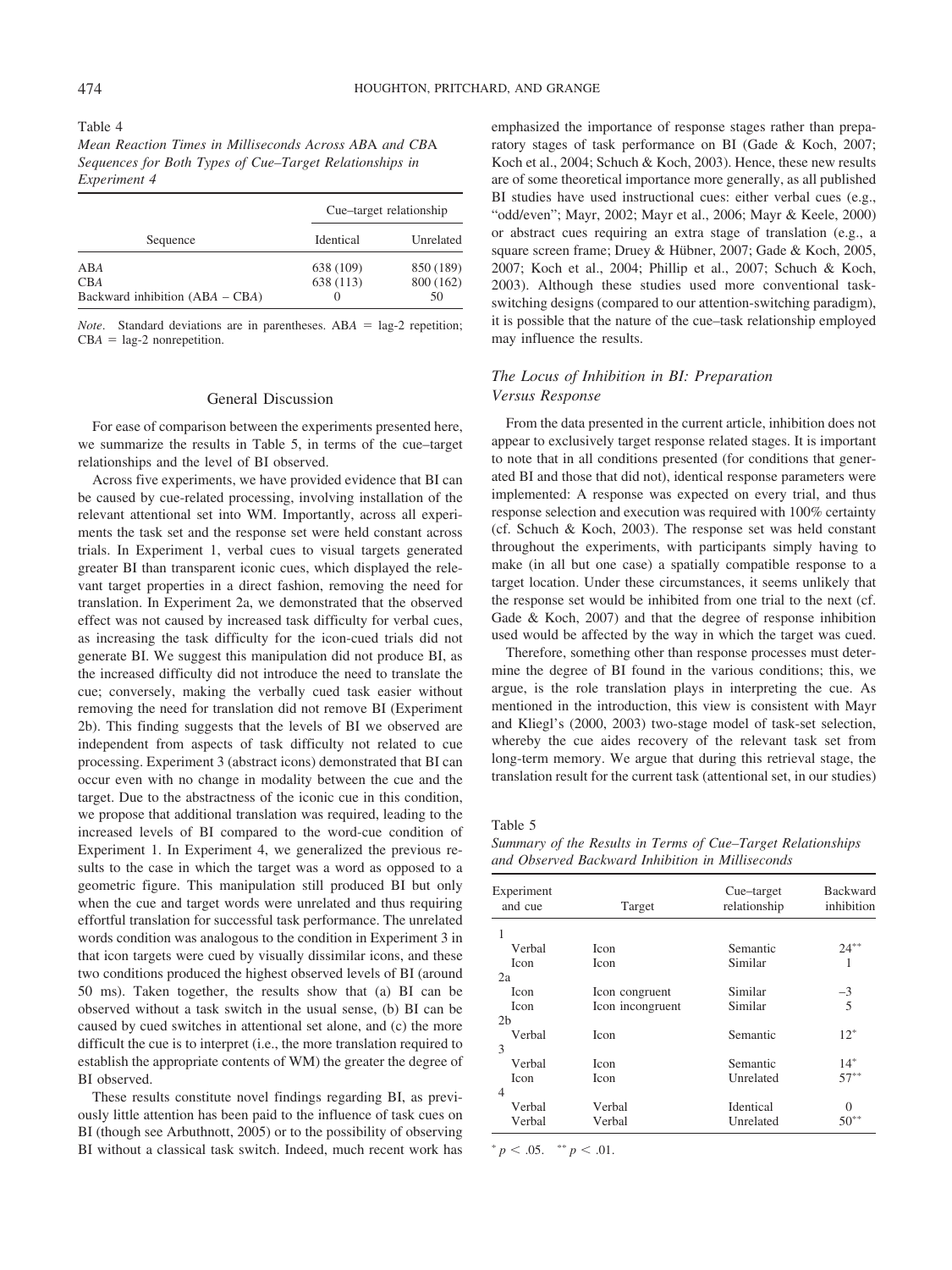Table 4

*Mean Reaction Times in Milliseconds Across AB*A *and CB*A *Sequences for Both Types of Cue–Target Relationships in Experiment 4*

|                                 | Cue-target relationship |           |  |
|---------------------------------|-------------------------|-----------|--|
| Sequence                        | Identical               | Unrelated |  |
| ABA                             | 638 (109)               | 850 (189) |  |
| <b>CBA</b>                      | 638 (113)               | 800 (162) |  |
| Backward inhibition (ABA – CBA) |                         | 50        |  |

*Note*. Standard deviations are in parentheses.  $ABA = lag-2$  repetition;  $CBA = lag-2$  nonrepetition.

#### General Discussion

For ease of comparison between the experiments presented here, we summarize the results in Table 5, in terms of the cue–target relationships and the level of BI observed.

Across five experiments, we have provided evidence that BI can be caused by cue-related processing, involving installation of the relevant attentional set into WM. Importantly, across all experiments the task set and the response set were held constant across trials. In Experiment 1, verbal cues to visual targets generated greater BI than transparent iconic cues, which displayed the relevant target properties in a direct fashion, removing the need for translation. In Experiment 2a, we demonstrated that the observed effect was not caused by increased task difficulty for verbal cues, as increasing the task difficulty for the icon-cued trials did not generate BI. We suggest this manipulation did not produce BI, as the increased difficulty did not introduce the need to translate the cue; conversely, making the verbally cued task easier without removing the need for translation did not remove BI (Experiment 2b). This finding suggests that the levels of BI we observed are independent from aspects of task difficulty not related to cue processing. Experiment 3 (abstract icons) demonstrated that BI can occur even with no change in modality between the cue and the target. Due to the abstractness of the iconic cue in this condition, we propose that additional translation was required, leading to the increased levels of BI compared to the word-cue condition of Experiment 1. In Experiment 4, we generalized the previous results to the case in which the target was a word as opposed to a geometric figure. This manipulation still produced BI but only when the cue and target words were unrelated and thus requiring effortful translation for successful task performance. The unrelated words condition was analogous to the condition in Experiment 3 in that icon targets were cued by visually dissimilar icons, and these two conditions produced the highest observed levels of BI (around 50 ms). Taken together, the results show that (a) BI can be observed without a task switch in the usual sense, (b) BI can be caused by cued switches in attentional set alone, and (c) the more difficult the cue is to interpret (i.e., the more translation required to establish the appropriate contents of WM) the greater the degree of BI observed.

These results constitute novel findings regarding BI, as previously little attention has been paid to the influence of task cues on BI (though see Arbuthnott, 2005) or to the possibility of observing BI without a classical task switch. Indeed, much recent work has emphasized the importance of response stages rather than preparatory stages of task performance on BI (Gade & Koch, 2007; Koch et al., 2004; Schuch & Koch, 2003). Hence, these new results are of some theoretical importance more generally, as all published BI studies have used instructional cues: either verbal cues (e.g., "odd/even"; Mayr, 2002; Mayr et al., 2006; Mayr & Keele, 2000) or abstract cues requiring an extra stage of translation (e.g., a square screen frame; Druey & Hübner, 2007; Gade & Koch, 2005, 2007; Koch et al., 2004; Phillip et al., 2007; Schuch & Koch, 2003). Although these studies used more conventional taskswitching designs (compared to our attention-switching paradigm), it is possible that the nature of the cue–task relationship employed may influence the results.

# *The Locus of Inhibition in BI: Preparation Versus Response*

From the data presented in the current article, inhibition does not appear to exclusively target response related stages. It is important to note that in all conditions presented (for conditions that generated BI and those that did not), identical response parameters were implemented: A response was expected on every trial, and thus response selection and execution was required with 100% certainty (cf. Schuch & Koch, 2003). The response set was held constant throughout the experiments, with participants simply having to make (in all but one case) a spatially compatible response to a target location. Under these circumstances, it seems unlikely that the response set would be inhibited from one trial to the next (cf. Gade & Koch, 2007) and that the degree of response inhibition used would be affected by the way in which the target was cued.

Therefore, something other than response processes must determine the degree of BI found in the various conditions; this, we argue, is the role translation plays in interpreting the cue. As mentioned in the introduction, this view is consistent with Mayr and Kliegl's (2000, 2003) two-stage model of task-set selection, whereby the cue aides recovery of the relevant task set from long-term memory. We argue that during this retrieval stage, the translation result for the current task (attentional set, in our studies)

Table 5

*Summary of the Results in Terms of Cue–Target Relationships and Observed Backward Inhibition in Milliseconds*

| Experiment<br>and cue | Target           | Cue–target<br>relationship | <b>Backward</b><br>inhibition |
|-----------------------|------------------|----------------------------|-------------------------------|
| 1                     |                  |                            |                               |
| Verbal                | <b>Icon</b>      | Semantic                   | $24***$                       |
| <b>Icon</b>           | Icon             | Similar                    | 1                             |
| 2a                    |                  |                            |                               |
| <b>Icon</b>           | Icon congruent   | Similar                    | $-3$                          |
| <b>Icon</b>           | Icon incongruent | Similar                    | 5                             |
| 2 <sub>b</sub>        |                  |                            |                               |
| Verbal                | <b>Icon</b>      | Semantic                   | $12*$                         |
| 3                     |                  |                            |                               |
| Verbal                | <b>Icon</b>      | Semantic                   | $14*$                         |
| <b>Icon</b>           | Icon             | Unrelated                  | $57***$                       |
| 4                     |                  |                            |                               |
| Verbal                | Verbal           | Identical                  | 0                             |
| Verbal                | Verbal           | Unrelated                  | $50***$                       |

 $p < .05.$  \*\*  $p < .01.$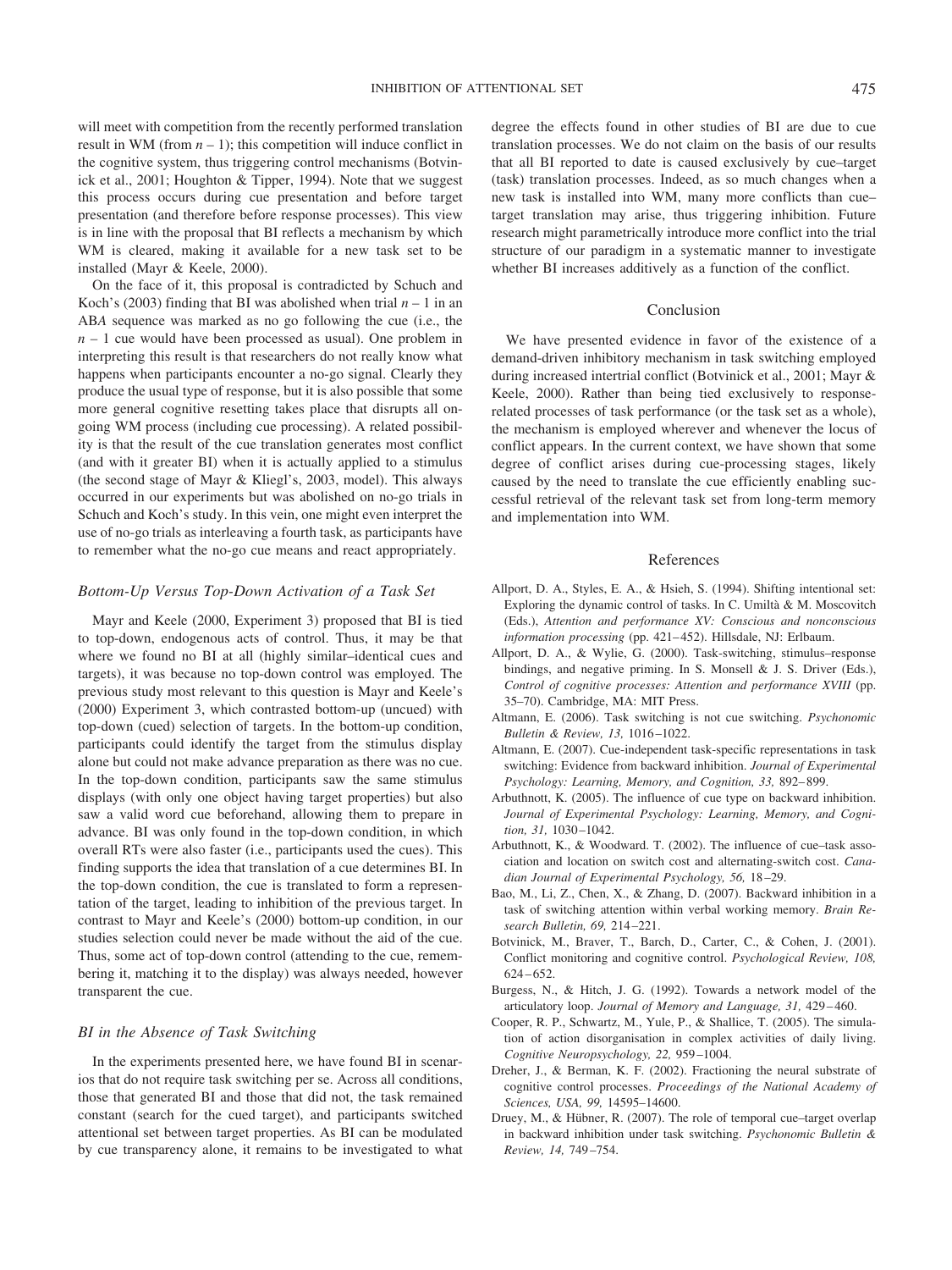will meet with competition from the recently performed translation result in WM (from  $n - 1$ ); this competition will induce conflict in the cognitive system, thus triggering control mechanisms (Botvinick et al., 2001; Houghton & Tipper, 1994). Note that we suggest this process occurs during cue presentation and before target presentation (and therefore before response processes). This view is in line with the proposal that BI reflects a mechanism by which WM is cleared, making it available for a new task set to be installed (Mayr & Keele, 2000).

On the face of it, this proposal is contradicted by Schuch and Koch's (2003) finding that BI was abolished when trial  $n - 1$  in an AB*A* sequence was marked as no go following the cue (i.e., the  $n - 1$  cue would have been processed as usual). One problem in interpreting this result is that researchers do not really know what happens when participants encounter a no-go signal. Clearly they produce the usual type of response, but it is also possible that some more general cognitive resetting takes place that disrupts all ongoing WM process (including cue processing). A related possibility is that the result of the cue translation generates most conflict (and with it greater BI) when it is actually applied to a stimulus (the second stage of Mayr & Kliegl's, 2003, model). This always occurred in our experiments but was abolished on no-go trials in Schuch and Koch's study. In this vein, one might even interpret the use of no-go trials as interleaving a fourth task, as participants have to remember what the no-go cue means and react appropriately.

# *Bottom-Up Versus Top-Down Activation of a Task Set*

Mayr and Keele (2000, Experiment 3) proposed that BI is tied to top-down, endogenous acts of control. Thus, it may be that where we found no BI at all (highly similar–identical cues and targets), it was because no top-down control was employed. The previous study most relevant to this question is Mayr and Keele's (2000) Experiment 3, which contrasted bottom-up (uncued) with top-down (cued) selection of targets. In the bottom-up condition, participants could identify the target from the stimulus display alone but could not make advance preparation as there was no cue. In the top-down condition, participants saw the same stimulus displays (with only one object having target properties) but also saw a valid word cue beforehand, allowing them to prepare in advance. BI was only found in the top-down condition, in which overall RTs were also faster (i.e., participants used the cues). This finding supports the idea that translation of a cue determines BI. In the top-down condition, the cue is translated to form a representation of the target, leading to inhibition of the previous target. In contrast to Mayr and Keele's (2000) bottom-up condition, in our studies selection could never be made without the aid of the cue. Thus, some act of top-down control (attending to the cue, remembering it, matching it to the display) was always needed, however transparent the cue.

## *BI in the Absence of Task Switching*

In the experiments presented here, we have found BI in scenarios that do not require task switching per se. Across all conditions, those that generated BI and those that did not, the task remained constant (search for the cued target), and participants switched attentional set between target properties. As BI can be modulated by cue transparency alone, it remains to be investigated to what degree the effects found in other studies of BI are due to cue translation processes. We do not claim on the basis of our results that all BI reported to date is caused exclusively by cue–target (task) translation processes. Indeed, as so much changes when a new task is installed into WM, many more conflicts than cue– target translation may arise, thus triggering inhibition. Future research might parametrically introduce more conflict into the trial structure of our paradigm in a systematic manner to investigate whether BI increases additively as a function of the conflict.

# Conclusion

We have presented evidence in favor of the existence of a demand-driven inhibitory mechanism in task switching employed during increased intertrial conflict (Botvinick et al., 2001; Mayr & Keele, 2000). Rather than being tied exclusively to responserelated processes of task performance (or the task set as a whole), the mechanism is employed wherever and whenever the locus of conflict appears. In the current context, we have shown that some degree of conflict arises during cue-processing stages, likely caused by the need to translate the cue efficiently enabling successful retrieval of the relevant task set from long-term memory and implementation into WM.

#### References

- Allport, D. A., Styles, E. A., & Hsieh, S. (1994). Shifting intentional set: Exploring the dynamic control of tasks. In C. Umiltà  $& M$ . Moscovitch (Eds.), *Attention and performance XV: Conscious and nonconscious information processing* (pp. 421-452). Hillsdale, NJ: Erlbaum.
- Allport, D. A., & Wylie, G. (2000). Task-switching, stimulus–response bindings, and negative priming. In S. Monsell & J. S. Driver (Eds.), *Control of cognitive processes: Attention and performance XVIII* (pp. 35–70). Cambridge, MA: MIT Press.
- Altmann, E. (2006). Task switching is not cue switching. *Psychonomic Bulletin & Review, 13,* 1016 –1022.
- Altmann, E. (2007). Cue-independent task-specific representations in task switching: Evidence from backward inhibition. *Journal of Experimental Psychology: Learning, Memory, and Cognition, 33,* 892– 899.
- Arbuthnott, K. (2005). The influence of cue type on backward inhibition. *Journal of Experimental Psychology: Learning, Memory, and Cognition, 31,* 1030 –1042.
- Arbuthnott, K., & Woodward. T. (2002). The influence of cue–task association and location on switch cost and alternating-switch cost. *Canadian Journal of Experimental Psychology, 56,* 18 –29.
- Bao, M., Li, Z., Chen, X., & Zhang, D. (2007). Backward inhibition in a task of switching attention within verbal working memory. *Brain Research Bulletin, 69,* 214 –221.
- Botvinick, M., Braver, T., Barch, D., Carter, C., & Cohen, J. (2001). Conflict monitoring and cognitive control. *Psychological Review, 108,*  $624 - 652.$
- Burgess, N., & Hitch, J. G. (1992). Towards a network model of the articulatory loop. *Journal of Memory and Language, 31,* 429 – 460.
- Cooper, R. P., Schwartz, M., Yule, P., & Shallice, T. (2005). The simulation of action disorganisation in complex activities of daily living. *Cognitive Neuropsychology, 22,* 959 –1004.
- Dreher, J., & Berman, K. F. (2002). Fractioning the neural substrate of cognitive control processes. *Proceedings of the National Academy of Sciences, USA, 99,* 14595–14600.
- Druey, M., & Hübner, R. (2007). The role of temporal cue–target overlap in backward inhibition under task switching. *Psychonomic Bulletin & Review, 14,* 749 –754.